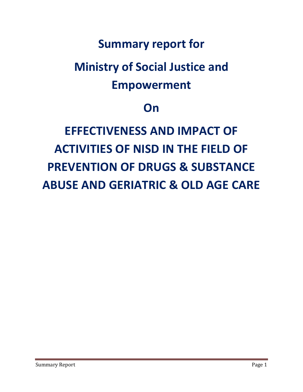# **Summary report for**

# **Ministry of Social Justice and Empowerment**

# **On**

# **EFFECTIVENESS AND IMPACT OF ACTIVITIES OF NISD IN THE FIELD OF PREVENTION OF DRUGS & SUBSTANCE ABUSE AND GERIATRIC & OLD AGE CARE**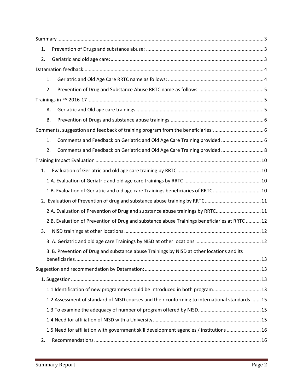| 1. |           |                                                                                                |  |
|----|-----------|------------------------------------------------------------------------------------------------|--|
| 2. |           |                                                                                                |  |
|    |           |                                                                                                |  |
|    | 1.        |                                                                                                |  |
|    | 2.        |                                                                                                |  |
|    |           |                                                                                                |  |
|    | А.        |                                                                                                |  |
|    | <b>B.</b> |                                                                                                |  |
|    |           |                                                                                                |  |
|    | 1.        | Comments and Feedback on Geriatric and Old Age Care Training provided  6                       |  |
|    | 2.        | Comments and Feedback on Geriatric and Old Age Care Training provided  8                       |  |
|    |           |                                                                                                |  |
| 1. |           |                                                                                                |  |
|    |           |                                                                                                |  |
|    |           | 1.B. Evaluation of Geriatric and old age care Trainings beneficiaries of RRTC 10               |  |
|    |           |                                                                                                |  |
|    |           | 2.A. Evaluation of Prevention of Drug and substance abuse trainings by RRTC 11                 |  |
|    |           | 2.B. Evaluation of Prevention of Drug and substance abuse Trainings beneficiaries at RRTC  12  |  |
| 3. |           |                                                                                                |  |
|    |           |                                                                                                |  |
|    |           | 3. B. Prevention of Drug and substance abuse Trainings by NISD at other locations and its      |  |
|    |           |                                                                                                |  |
|    |           |                                                                                                |  |
|    |           |                                                                                                |  |
|    |           | 1.1 Identification of new programmes could be introduced in both program 13                    |  |
|    |           | 1.2 Assessment of standard of NISD courses and their conforming to international standards  15 |  |
|    |           |                                                                                                |  |
|    |           |                                                                                                |  |
|    |           | 1.5 Need for affiliation with government skill development agencies / institutions  16         |  |
| 2. |           |                                                                                                |  |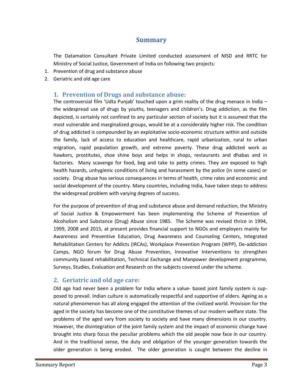# **Summary**

<span id="page-2-0"></span>The Datamation Consultant Private Limited conducted assessment of NISD and RRTC for Ministry of Social Justice, Government of India on following two projects:

- 1. Prevention of drug and substance abuse
- <span id="page-2-1"></span>2. Geriatric and old age care

# **1. Prevention of Drugs and substance abuse:**

The controversial film 'Udta Punjab' touched upon a grim reality of the drug menace in India – the widespread use of drugs by youths, teenagers and children's. Drug addiction, as the film depicted, is certainly not confined to any particular section of society but it is assumed that the most vulnerable and marginalized groups, would be at a considerably higher risk. The condition of drug addicted is compounded by an exploitative socio-economic structure within and outside the family, lack of access to education and healthcare, rapid urbanization, rural to urban migration, rapid population growth, and extreme poverty. These drug addicted work as hawkers, prostitutes, shoe shine boys and helps in shops, restaurants and dhabas and in factories. Many scavenge for food, beg and take to petty crimes. They are exposed to high health hazards, unhygienic conditions of living and harassment by the police (in some cases) or society. Drug abuse has serious consequences in terms of health, crime rates and economic and social development of the country. Many countries, including India, have taken steps to address the widespread problem with varying degrees of success.

For the purpose of prevention of drug and substance abuse and demand reduction, the Ministry of Social Justice & Empowerment has been implementing the Scheme of Prevention of Alcoholism and Substance (Drug) Abuse since 1985. The Scheme was revised thrice in 1994, 1999, 2008 and 2015, at present provides financial support to NGOs and employers mainly for Awareness and Preventive Education, Drug Awareness and Counseling Centers, Integrated Rehabilitation Centers for Addicts (IRCAs), Workplace Prevention Program (WPP), De-addiction Camps, NGO forum for Drug Abuse Prevention, Innovative Interventions to strengthen community based rehabilitation, Technical Exchange and Manpower development programme, Surveys, Studies, Evaluation and Research on the subjects covered under the scheme.

# <span id="page-2-2"></span>**2. Geriatric and old age care:**

Old age had never been a problem for India where a value- based joint family system is supposed to prevail. Indian culture is automatically respectful and supportive of elders. Ageing as a natural phenomenon has all along engaged the attention of the civilized world. Provision for the aged in the society has become one of the constitutive themes of our modern welfare state. The problems of the aged vary from society to society and have many dimensions in our country. However, the disintegration of the joint family system and the impact of economic change have brought into sharp focus the peculiar problems which the old people now face in our country. And in the traditional sense, the duty and obligation of the younger generation towards the older generation is being eroded. The older generation is caught between the decline in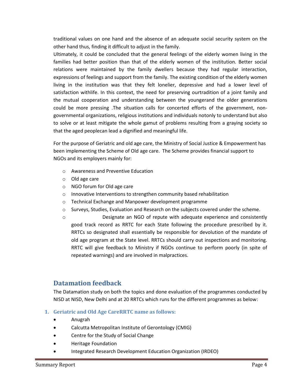traditional values on one hand and the absence of an adequate social security system on the other hand thus, finding it difficult to adjust in the family.

Ultimately, it could be concluded that the general feelings of the elderly women living in the families had better position than that of the elderly women of the institution. Better social relations were maintained by the family dwellers because they had regular interaction, expressions of feelings and support from the family. The existing condition of the elderly women living in the institution was that they felt lonelier, depressive and had a lower level of satisfaction withlife. In this context, the need for preserving ourtradition of a joint family and the mutual cooperation and understanding between the youngerand the older generations could be more pressing .The situation calls for concerted efforts of the government, nongovernmental organizations, religious institutions and individuals notonly to understand but also to solve or at least mitigate the whole gamut of problems resulting from a graying society so that the aged peoplecan lead a dignified and meaningful life.

For the purpose of Geriatric and old age care, the Ministry of Social Justice & Empowerment has been implementing the Scheme of Old age care. The Scheme provides financial support to NGOs and its employers mainly for:

- o Awareness and Preventive Education
- o Old age care
- o NGO forum for Old age care
- o Innovative Interventions to strengthen community based rehabilitation
- o Technical Exchange and Manpower development programme
- o Surveys, Studies, Evaluation and Research on the subjects covered under the scheme.
- o Designate an NGO of repute with adequate experience and consistently good track record as RRTC for each State following the procedure prescribed by it. RRTCs so designated shall essentially be responsible for devolution of the mandate of old age program at the State level. RRTCs should carry out inspections and monitoring. RRTC will give feedback to Ministry if NGOs continue to perform poorly (in spite of repeated warnings) and are involved in malpractices.

# <span id="page-3-0"></span>**Datamation feedback**

The Datamation study on both the topics and done evaluation of the programmes conducted by NISD at NISD, New Delhi and at 20 RRTCs which runs for the different programmes as below:

#### <span id="page-3-1"></span>**1. Geriatric and Old Age CareRRTC name as follows:**

- Anugrah
- Calcutta Metropolitan Institute of Gerontology (CMIG)
- Centre for the Study of Social Change
- Heritage Foundation
- Integrated Research Development Education Organization (IRDEO)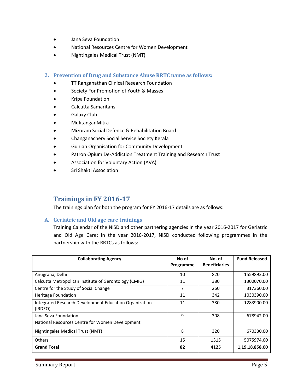- Jana Seva Foundation
- National Resources Centre for Women Development
- Nightingales Medical Trust (NMT)
- <span id="page-4-0"></span>**2. Prevention of Drug and Substance Abuse RRTC name as follows:**
	- TT Ranganathan Clinical Research Foundation
	- **Society For Promotion of Youth & Masses**
	- Kripa Foundation
	- Calcutta Samaritans
	- Galaxy Club
	- MuktanganMitra
	- Mizoram Social Defence & Rehabilitation Board
	- Changanachery Social Service Society Kerala
	- Gunjan Organisation for Community Development
	- Patron Opium De-Addiction Treatment Training and Research Trust
	- Association for Voluntary Action (AVA)
	- Sri Shakti Association

# <span id="page-4-1"></span>**Trainings in FY 2016-17**

The trainings plan for both the program for FY 2016-17 details are as follows:

#### <span id="page-4-2"></span>**A. Geriatric and Old age care trainings**

Training Calendar of the NISD and other partnering agencies in the year 2016-2017 for Geriatric and Old Age Care: In the year 2016-2017, NISD conducted following programmes in the partnership with the RRTCs as follows:

| <b>Collaborating Agency</b>                                       | No of<br>Programme | No. of<br><b>Beneficiaries</b> | <b>Fund Released</b> |
|-------------------------------------------------------------------|--------------------|--------------------------------|----------------------|
| Anugraha, Delhi                                                   | 10                 | 820                            | 1559892.00           |
| Calcutta Metropolitan Institute of Gerontology (CMIG)             | 11                 | 380                            | 1300070.00           |
| Centre for the Study of Social Change                             | 7                  | 260                            | 317360.00            |
| <b>Heritage Foundation</b>                                        | 11                 | 342                            | 1030390.00           |
| Integrated Research Development Education Organization<br>(IRDEO) | 11                 | 380                            | 1283900.00           |
| Jana Seva Foundation                                              | 9                  | 308                            | 678942.00            |
| National Resources Centre for Women Development                   |                    |                                |                      |
| Nightingales Medical Trust (NMT)                                  | 8                  | 320                            | 670330.00            |
| <b>Others</b>                                                     | 15                 | 1315                           | 5075974.00           |
| <b>Grand Total</b>                                                | 82                 | 4125                           | 1,19,18,858.00       |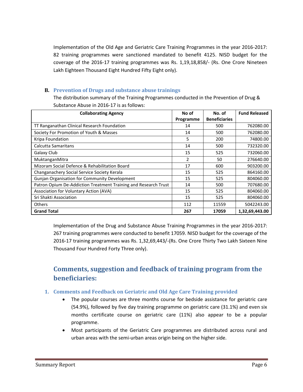Implementation of the Old Age and Geriatric Care Training Programmes in the year 2016-2017: 82 training programmes were sanctioned mandated to benefit 4125. NISD budget for the coverage of the 2016-17 training programmes was Rs. 1,19,18,858/- (Rs. One Crore Nineteen Lakh Eighteen Thousand Eight Hundred Fifty Eight only).

### <span id="page-5-0"></span>**B. Prevention of Drugs and substance abuse trainings**

The distribution summary of the Training Programmes conducted in the Prevention of Drug & Substance Abuse in 2016-17 is as follows:

| <b>Collaborating Agency</b>                                     | No of          | No. of               | <b>Fund Released</b> |
|-----------------------------------------------------------------|----------------|----------------------|----------------------|
|                                                                 | Programme      | <b>Beneficiaries</b> |                      |
| TT Ranganathan Clinical Research Foundation                     | 14             | 500                  | 762080.00            |
| Society For Promotion of Youth & Masses                         | 14             | 500                  | 762080.00            |
| Kripa Foundation                                                | 5              | 200                  | 74800.00             |
| Calcutta Samaritans                                             | 14             | 500                  | 732320.00            |
| Galaxy Club                                                     | 15             | 525                  | 732060.00            |
| MuktanganMitra                                                  | $\overline{2}$ | 50                   | 276640.00            |
| Mizoram Social Defence & Rehabilitation Board                   | 17             | 600                  | 903200.00            |
| Changanachery Social Service Society Kerala                     | 15             | 525                  | 864160.00            |
| Gunjan Organisation for Community Development                   | 15             | 525                  | 804060.00            |
| Patron Opium De-Addiction Treatment Training and Research Trust | 14             | 500                  | 707680.00            |
| Association for Voluntary Action (AVA)                          | 15             | 525                  | 804060.00            |
| Sri Shakti Association                                          | 15             | 525                  | 804060.00            |
| <b>Others</b>                                                   | 112            | 11559                | 5042243.00           |
| <b>Grand Total</b>                                              | 267            | 17059                | 1,32,69,443.00       |

Implementation of the Drug and Substance Abuse Training Programmes in the year 2016-2017: 267 training programmes were conducted to benefit 17059. NISD budget for the coverage of the 2016-17 training programmes was Rs. 1,32,69,443/-(Rs. One Crore Thirty Two Lakh Sixteen Nine Thousand Four Hundred Forty Three only).

# <span id="page-5-1"></span>**Comments, suggestion and feedback of training program from the beneficiaries:**

#### <span id="page-5-2"></span>**1. Comments and Feedback on Geriatric and Old Age Care Training provided**

- The popular courses are three months course for bedside assistance for geriatric care (54.9%), followed by five day training programme on geriatric care (31.1%) and even six months certificate course on geriatric care (11%) also appear to be a popular programme.
- Most participants of the Geriatric Care programmes are distributed across rural and urban areas with the semi-urban areas origin being on the higher side.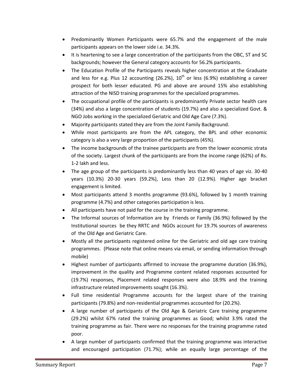- Predominantly Women Participants were 65.7% and the engagement of the male participants appears on the lower side i.e. 34.3%.
- It is heartening to see a large concentration of the participants from the OBC, ST and SC backgrounds; however the General category accounts for 56.2% participants.
- The Education Profile of the Participants reveals higher concentration at the Graduate and less for e.g. Plus 12 accounting (26.2%),  $10^{th}$  or less (6.9%) establishing a career prospect for both lesser educated. PG and above are around 15% also establishing attraction of the NISD training programmes for the specialized programmes.
- The occupational profile of the participants is predominantly Private sector health care (34%) and also a large concentration of students (19.7%) and also a specialized Govt. & NGO Jobs working in the specialized Geriatric and Old Age Care (7.3%).
- Majority participants stated they are from the Joint Family Background.
- While most participants are from the APL category, the BPL and other economic category is also a very large proportion of the participants (45%).
- The income backgrounds of the trainee participants are from the lower economic strata of the society. Largest chunk of the participants are from the income range (62%) of Rs. 1-2 lakh and less.
- The age group of the participants is predominantly less than 40 years of age viz. 30-40 years (10.3%) 20-30 years (59.2%), Less than 20 (12.9%). Higher age bracket engagement is limited.
- Most participants attend 3 months programme (93.6%), followed by 1 month training programme (4.7%) and other categories participation is less.
- All participants have not paid for the course in the training programme.
- The Informal sources of Information are by Friends or Family (36.9%) followed by the Institutional sources be they RRTC and NGOs account for 19.7% sources of awareness of the Old Age and Geriatric Care.
- Mostly all the participants registered online for the Geriatric and old age care training programmes. (Please note that online means via email, or sending information through mobile)
- Highest number of participants affirmed to increase the programme duration (36.9%), improvement in the quality and Programme content related responses accounted for (19.7%) responses, Placement related responses were also 18.9% and the training infrastructure related improvements sought (16.3%).
- Full time residential Programme accounts for the largest share of the training participants (79.8%) and non-residential programmes accounted for (20.2%).
- A large number of participants of the Old Age & Geriatric Care training programme (29.2%) whilst 67% rated the training programmes as Good; whilst 3.9% rated the training programme as fair. There were no responses for the training programme rated poor.
- A large number of participants confirmed that the training programme was interactive and encouraged participation (71.7%); while an equally large percentage of the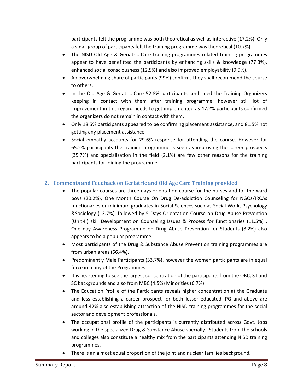participants felt the programme was both theoretical as well as interactive (17.2%). Only a small group of participants felt the training programme was theoretical (10.7%).

- The NISD Old Age & Geriatric Care training programmes related training programmes appear to have benefitted the participants by enhancing skills & knowledge (77.3%), enhanced social consciousness (12.9%) and also improved employability (9.9%).
- An overwhelming share of participants (99%) confirms they shall recommend the course to others**.**
- In the Old Age & Geriatric Care 52.8% participants confirmed the Training Organizers keeping in contact with them after training programme; however still lot of improvement in this regard needs to get implemented as 47.2% participants confirmed the organizers do not remain in contact with them.
- Only 18.5% participants appeared to be confirming placement assistance, and 81.5% not getting any placement assistance.
- Social empathy accounts for 29.6% response for attending the course. However for 65.2% participants the training programme is seen as improving the career prospects (35.7%) and specialization in the field (2.1%) are few other reasons for the training participants for joining the programme.

# <span id="page-7-0"></span>**2. Comments and Feedback on Geriatric and Old Age Care Training provided**

- The popular courses are three days orientation course for the nurses and for the ward boys (20.2%), One Month Course On Drug De-addiction Counseling for NGOs/IRCAs functionaries or minimum graduates in Social Sciences such as Social Work, Psychology &Sociology (13.7%), followed by 5 Days Orientation Course on Drug Abuse Prevention (Unit-II) skill Development on Counseling Issues & Process for functionaries (11.5%) . One day Awareness Programme on Drug Abuse Prevention for Students (8.2%) also appears to be a popular programme.
- Most participants of the Drug & Substance Abuse Prevention training programmes are from urban areas (56.4%).
- Predominantly Male Participants (53.7%), however the women participants are in equal force in many of the Programmes.
- It is heartening to see the largest concentration of the participants from the OBC, ST and SC backgrounds and also from MBC (4.5%) Minorities (6.7%).
- The Education Profile of the Participants reveals higher concentration at the Graduate and less establishing a career prospect for both lesser educated. PG and above are around 42% also establishing attraction of the NISD training programmes for the social sector and development professionals.
- The occupational profile of the participants is currently distributed across Govt. Jobs working in the specialized Drug & Substance Abuse specially. Students from the schools and colleges also constitute a healthy mix from the participants attending NISD training programmes.
- There is an almost equal proportion of the joint and nuclear families background.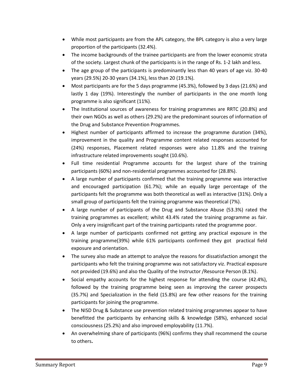- While most participants are from the APL category, the BPL category is also a very large proportion of the participants (32.4%).
- The income backgrounds of the trainee participants are from the lower economic strata of the society. Largest chunk of the participants is in the range of Rs. 1-2 lakh and less.
- The age group of the participants is predominantly less than 40 years of age viz. 30-40 years (29.5%) 20-30 years (34.1%), less than 20 (19.1%).
- Most participants are for the 5 days programme (45.3%), followed by 3 days (21.6%) and lastly 1 day (19%). Interestingly the number of participants in the one month long programme is also significant (11%).
- The Institutional sources of awareness for training programmes are RRTC (20.8%) and their own NGOs as well as others (29.2%) are the predominant sources of information of the Drug and Substance Prevention Programmes.
- Highest number of participants affirmed to increase the programme duration (34%), improvement in the quality and Programme content related responses accounted for (24%) responses, Placement related responses were also 11.8% and the training infrastructure related improvements sought (10.6%).
- Full time residential Programme accounts for the largest share of the training participants (60%) and non-residential programmes accounted for (28.8%).
- A large number of participants confirmed that the training programme was interactive and encouraged participation (61.7%); while an equally large percentage of the participants felt the programme was both theoretical as well as interactive (31%). Only a small group of participants felt the training programme was theoretical (7%).
- A large number of participants of the Drug and Substance Abuse (53.3%) rated the training programmes as excellent; whilst 43.4% rated the training programme as fair. Only a very insignificant part of the training participants rated the programme poor.
- A large number of participants confirmed not getting any practical exposure in the training programme(39%) while 61% participants confirmed they got practical field exposure and orientation.
- The survey also made an attempt to analyze the reasons for dissatisfaction amongst the participants who felt the training programme was not satisfactory viz. Practical exposure not provided (19.6%) and also the Quality of the Instructor /Resource Person (8.1%).
- Social empathy accounts for the highest response for attending the course (42.4%), followed by the training programme being seen as improving the career prospects (35.7%) and Specialization in the field (15.8%) are few other reasons for the training participants for joining the programme.
- The NISD Drug & Substance use prevention related training programmes appear to have benefitted the participants by enhancing skills & knowledge (58%), enhanced social consciousness (25.2%) and also improved employability (11.7%).
- An overwhelming share of participants (96%) confirms they shall recommend the course to others**.**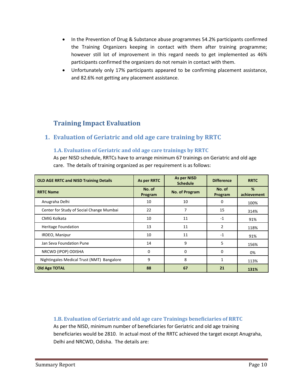- In the Prevention of Drug & Substance abuse programmes 54.2% participants confirmed the Training Organizers keeping in contact with them after training programme; however still lot of improvement in this regard needs to get implemented as 46% participants confirmed the organizers do not remain in contact with them.
- Unfortunately only 17% participants appeared to be confirming placement assistance, and 82.6% not getting any placement assistance.

# <span id="page-9-0"></span>**Training Impact Evaluation**

# <span id="page-9-2"></span><span id="page-9-1"></span>**1. Evaluation of Geriatric and old age care training by RRTC**

#### **1.A. Evaluation of Geriatric and old age care trainings by RRTC**

As per NISD schedule, RRTCs have to arrange minimum 67 trainings on Geriatric and old age care. The details of training organized as per requirement is as follows:

| <b>OLD AGE RRTC and NISD Training Details</b> | As per RRTC       | <b>As per NISD</b><br><b>Schedule</b> | <b>Difference</b> | <b>RRTC</b>      |
|-----------------------------------------------|-------------------|---------------------------------------|-------------------|------------------|
| <b>RRTC Name</b>                              | No. of<br>Program | No. of Program                        | No. of<br>Program | %<br>achievement |
| Anugraha Delhi                                | 10                | 10                                    | 0                 | 100%             |
| Center for Study of Social Change Mumbai      | 22                |                                       | 15                | 314%             |
| <b>CMIG Kolkata</b>                           | 10                | 11                                    | $-1$              | 91%              |
| <b>Heritage Foundation</b>                    | 13                | 11                                    | $\overline{2}$    | 118%             |
| IRDEO, Manipur                                | 10                | 11                                    | $-1$              | 91%              |
| Jan Seva Foundation Pune                      | 14                | 9                                     | 5                 | 156%             |
| NRCWD (IPOP) ODISHA                           | 0                 | 0                                     | $\Omega$          | 0%               |
| Nightingales Medical Trust (NMT) Bangalore    | 9                 | 8                                     | 1                 | 113%             |
| <b>Old Age TOTAL</b>                          | 88                | 67                                    | 21                | 131%             |

<span id="page-9-3"></span>**1.B. Evaluation of Geriatric and old age care Trainings beneficiaries of RRTC** As per the NISD, minimum number of beneficiaries for Geriatric and old age training beneficiaries would be 2810. In actual most of the RRTC achieved the target except Anugraha, Delhi and NRCWD, Odisha. The details are: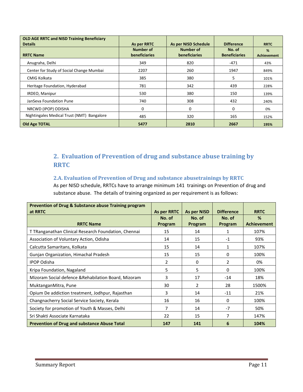| <b>OLD AGE RRTC and NISD Training Beneficiary</b><br><b>Details</b> | As per RRTC                       | As per NISD Schedule              | <b>Difference</b>              | <b>RRTC</b>             |
|---------------------------------------------------------------------|-----------------------------------|-----------------------------------|--------------------------------|-------------------------|
| <b>RRTC Name</b>                                                    | <b>Number of</b><br>beneficiaries | Number of<br><b>beneficiaries</b> | No. of<br><b>Beneficiaries</b> | %<br><b>Achievement</b> |
| Anugraha, Delhi                                                     | 349                               | 820                               | $-471$                         | 43%                     |
| Center for Study of Social Change Mumbai                            | 2207                              | 260                               | 1947                           | 849%                    |
| CMIG Kolkata                                                        | 385                               | 380                               | 5                              | 101%                    |
| Heritage Foundation, Hyderabad                                      | 781                               | 342                               | 439                            | 228%                    |
| IRDEO, Manipur                                                      | 530                               | 380                               | 150                            | 139%                    |
| JanSeva Foundation Pune                                             | 740                               | 308                               | 432                            | 240%                    |
| NRCWD (IPOP) ODISHA                                                 | 0                                 | 0                                 | 0                              | 0%                      |
| Nightingales Medical Trust (NMT) Bangalore                          | 485                               | 320                               | 165                            | 152%                    |
| Old Age TOTAL                                                       | 5477                              | 2810                              | 2667                           | 195%                    |

# <span id="page-10-0"></span>**2. Evaluation of Prevention of drug and substance abuse training by RRTC**

### <span id="page-10-1"></span>**2.A. Evaluation of Prevention of Drug and substance abusetrainings by RRTC**

As per NISD schedule, RRTCs have to arrange minimum 141 trainings on Prevention of drug and substance abuse. The details of training organized as per requirement is as follows:

| <b>Prevention of Drug &amp; Substance abuse Training program</b><br>at RRTC | As per RRTC       | <b>As per NISD</b> | <b>Difference</b> | <b>RRTC</b>             |
|-----------------------------------------------------------------------------|-------------------|--------------------|-------------------|-------------------------|
| <b>RRTC Name</b>                                                            | No. of<br>Program | No. of<br>Program  | No. of<br>Program | %<br><b>Achievement</b> |
| T TRanganathan Clinical Research Foundation, Chennai                        | 15                | 14                 | 1                 | 107%                    |
| Association of Voluntary Action, Odisha                                     | 14                | 15                 | $-1$              | 93%                     |
| Calcutta Samaritans, Kolkata                                                | 15                | 14                 | 1                 | 107%                    |
| Gunjan Organization, Himachal Pradesh                                       | 15                | 15                 | 0                 | 100%                    |
| <b>IPOP Odisha</b>                                                          | 2                 | $\Omega$           | 2                 | 0%                      |
| Kripa Foundation, Nagaland                                                  | 5                 | 5                  | 0                 | 100%                    |
| Mizoram Social defence & Rehabilation Board, Mizoram                        | 3                 | 17                 | $-14$             | 18%                     |
| MuktanganMitra, Pune                                                        | 30                | $\overline{2}$     | 28                | 1500%                   |
| Opium De addiction treatment, Jodhpur, Rajasthan                            | 3                 | 14                 | $-11$             | 21%                     |
| Changnacherry Social Service Society, Kerala                                | 16                | 16                 | $\mathbf{0}$      | 100%                    |
| Society for promotion of Youth & Masses, Delhi                              | 7                 | 14                 | $-7$              | 50%                     |
| Sri Shakti Associate Karnataka                                              | 22                | 15                 | 7                 | 147%                    |
| <b>Prevention of Drug and substance Abuse Total</b>                         | 147               | 141                | 6                 | 104%                    |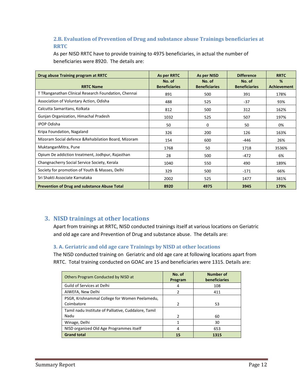# <span id="page-11-0"></span>**2.B. Evaluation of Prevention of Drug and substance abuse Trainings beneficiaries at RRTC**

As per NISD RRTC have to provide training to 4975 beneficiaries, in actual the number of beneficiaries were 8920. The details are:

| Drug abuse Training program at RRTC                  | As per RRTC                    | As per NISD                    | <b>Difference</b>              | <b>RRTC</b>             |
|------------------------------------------------------|--------------------------------|--------------------------------|--------------------------------|-------------------------|
| <b>RRTC Name</b>                                     | No. of<br><b>Beneficiaries</b> | No. of<br><b>Beneficiaries</b> | No. of<br><b>Beneficiaries</b> | %<br><b>Achievement</b> |
| T TRanganathan Clinical Research Foundation, Chennai | 891                            | 500                            | 391                            | 178%                    |
| Association of Voluntary Action, Odisha              | 488                            | 525                            | $-37$                          | 93%                     |
| Calcutta Samaritans, Kolkata                         | 812                            | 500                            | 312                            | 162%                    |
| Gunjan Organization, Himachal Pradesh                | 1032                           | 525                            | 507                            | 197%                    |
| <b>IPOP Odisha</b>                                   | 50                             | $\Omega$                       | 50                             | 0%                      |
| Kripa Foundation, Nagaland                           | 326                            | 200                            | 126                            | 163%                    |
| Mizoram Social defence & Rehabilation Board, Mizoram | 154                            | 600                            | -446                           | 26%                     |
| MuktanganMitra, Pune                                 | 1768                           | 50                             | 1718                           | 3536%                   |
| Opium De addiction treatment, Jodhpur, Rajasthan     | 28                             | 500                            | $-472$                         | 6%                      |
| Changnacherry Social Service Society, Kerala         | 1040                           | 550                            | 490                            | 189%                    |
| Society for promotion of Youth & Masses, Delhi       | 329                            | 500                            | $-171$                         | 66%                     |
| Sri Shakti Associate Karnataka                       | 2002                           | 525                            | 1477                           | 381%                    |
| <b>Prevention of Drug and substance Abuse Total</b>  | 8920                           | 4975                           | 3945                           | 179%                    |

# <span id="page-11-1"></span>**3. NISD trainings at other locations**

Apart from trainings at RRTC, NISD conducted trainings itself at various locations on Geriatric and old age care and Prevention of Drug and substance abuse. The details are:

# <span id="page-11-2"></span>**3. A. Geriatric and old age care Trainings by NISD at other locations**

The NISD conducted training on Geriatric and old age care at following locations apart from RRTC. Total training conducted on GOAC are 15 and beneficiaries were 1315. Details are:

| Others Program Conducted by NISD at                          | No. of<br>Program | <b>Number of</b><br><b>beneficiaries</b> |
|--------------------------------------------------------------|-------------------|------------------------------------------|
| Guild of Services at Delhi                                   | 4                 | 108                                      |
| AIWEFA, New Delhi                                            | 2                 | 411                                      |
| PSGR, Krishnammal College for Women Peelamedu,<br>Coimbatore | $\mathcal{P}$     | 53                                       |
| Tamil nadu Institute of Palliative, Cuddalore, Tamil<br>Nadu | $\mathcal{P}$     | 60                                       |
| Winage, Delhi                                                |                   | 30                                       |
| NISD organized Old Age Programmes itself                     | 4                 | 653                                      |
| <b>Grand total</b>                                           | 15                | 1315                                     |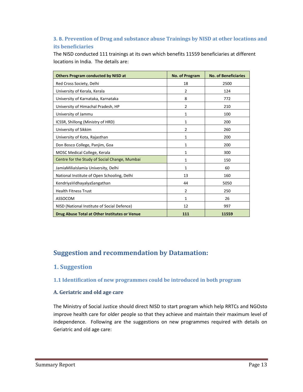# <span id="page-12-0"></span>**3. B. Prevention of Drug and substance abuse Trainings by NISD at other locations and its beneficiaries**

The NISD conducted 111 trainings at its own which benefits 11559 beneficiaries at different locations in India. The details are:

| <b>Others Program conducted by NISD at</b>    | No. of Program | <b>No. of Beneficiaries</b> |
|-----------------------------------------------|----------------|-----------------------------|
| Red Cross Society, Delhi                      | 18             | 2500                        |
| University of Kerala, Kerala                  | $\overline{2}$ | 124                         |
| University of Karnataka, Karnataka            | 8              | 772                         |
| University of Himachal Pradesh, HP            | $\overline{2}$ | 210                         |
| University of Jammu                           | 1              | 100                         |
| ICSSR, Shillong (Ministry of HRD)             | 1              | 200                         |
| University of Sikkim                          | $\overline{2}$ | 260                         |
| University of Kota, Rajasthan                 | $\mathbf{1}$   | 200                         |
| Don Bosco College, Panjim, Goa                | 1              | 200                         |
| MOSC Medical College, Kerala                  | 1              | 300                         |
| Centre for the Study of Social Change, Mumbai | 1              | 150                         |
| JamiaMiliaIslamia University, Delhi           | 1              | 60                          |
| National Institute of Open Schooling, Delhi   | 13             | 160                         |
| KendriyaVidhayalyaSangathan                   | 44             | 5050                        |
| <b>Health Fitness Trust</b>                   | $\overline{2}$ | 250                         |
| ASSOCOM                                       | 1              | 26                          |
| NISD (National Institute of Social Defence)   | 12             | 997                         |
| Drug Abuse Total at Other Institutes or Venue | 111            | 11559                       |

# <span id="page-12-1"></span>**Suggestion and recommendation by Datamation:**

# <span id="page-12-2"></span>**1. Suggestion**

#### <span id="page-12-3"></span>**1.1 Identification of new programmes could be introduced in both program**

#### **A. Geriatric and old age care**

The Ministry of Social Justice should direct NISD to start program which help RRTCs and NGOsto improve health care for older people so that they achieve and maintain their maximum level of independence. Following are the suggestions on new programmes required with details on Geriatric and old age care: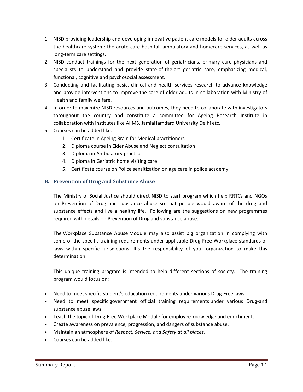- 1. NISD providing leadership and developing innovative patient care models for older adults across the healthcare system: the acute care hospital, ambulatory and homecare services, as well as long-term care settings.
- 2. NISD conduct trainings for the next generation of geriatricians, primary care physicians and specialists to understand and provide state-of-the-art geriatric care, emphasizing medical, functional, cognitive and psychosocial assessment.
- 3. Conducting and facilitating basic, clinical and health services research to advance knowledge and provide interventions to improve the care of older adults in collaboration with Ministry of Health and family welfare.
- 4. In order to maximize NISD resources and outcomes, they need to collaborate with investigators throughout the country and constitute a committee for Ageing Research Institute in collaboration with institutes like AIIMS, JamiaHamdard University Delhi etc.
- 5. Courses can be added like:
	- 1. Certificate in Ageing Brain for Medical practitioners
	- 2. Diploma course in Elder Abuse and Neglect consultation
	- 3. Diploma in Ambulatory practice
	- 4. Diploma in Geriatric home visiting care
	- 5. Certificate course on Police sensitization on age care in police academy

# **B. Prevention of Drug and Substance Abuse**

The Ministry of Social Justice should direct NISD to start program which help RRTCs and NGOs on Prevention of Drug and substance abuse so that people would aware of the drug and substance effects and live a healthy life. Following are the suggestions on new programmes required with details on Prevention of Drug and substance abuse:

The Workplace Substance Abuse Module may also assist big organization in complying with some of the specific training requirements under applicable Drug-Free Workplace standards or laws within specific jurisdictions. It's the responsibility of your organization to make this determination.

This unique training program is intended to help different sections of society. The training program would focus on:

- Need to meet specific student's education requirements under various Drug-Free laws.
- Need to meet specific government official training requirements under various Drug-and substance abuse laws.
- Teach the topic of Drug-Free Workplace Module for employee knowledge and enrichment.
- Create awareness on prevalence, progression, and dangers of substance abuse.
- Maintain an atmosphere of *Respect, Service, and Safety at all places.*
- Courses can be added like: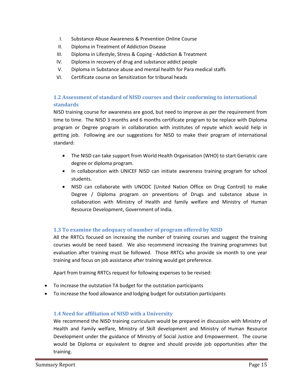- I. Substance Abuse Awareness & Prevention Online Course
- II. Diploma in Treatment of Addiction Disease
- III. Diploma in Lifestyle, Stress & Coping Addiction & Treatment
- IV. Diploma in recovery of drug and substance addict people
- V. Diploma in Substance abuse and mental health for Para medical staffs
- VI. Certificate course on Sensitization for tribunal heads

# <span id="page-14-0"></span>**1.2 Assessment of standard of NISD courses and their conforming to international standards**

NISD training course for awareness are good, but need to improve as per the requirement from time to time. The NISD 3 months and 6 months certificate program to be replace with Diploma program or Degree program in collaboration with institutes of repute which would help in getting job. Following are our suggestions for NISD to make their program of international standard:

- The NISD can take support from World Health Organisation (WHO) to start Geriatric care degree or diploma program.
- In collaboration with UNICEF NISD can initiate awareness training program for school students.
- NISD can collaborate with UNODC (United Nation Office on Drug Control) to make Degree / Diploma program on preventions of Drugs and substance abuse in collaboration with Ministry of Health and family welfare and Ministry of Human Resource Development, Government of India.

# <span id="page-14-1"></span>**1.3 To examine the adequacy of number of program offered by NISD**

All the RRTCs focused on increasing the number of training courses and suggest the training courses would be need based. We also recommend increasing the training programmes but evaluation after training must be followed. Those RRTCs who provide six month to one year training and focus on job assistance after training would get preference.

Apart from training RRTCs request for following expenses to be revised:

- To increase the outstation TA budget for the outstation participants
- To increase the food allowance and lodging budget for outstation participants

#### <span id="page-14-2"></span>**1.4 Need for affiliation of NISD with a University**

We recommend the NISD training curriculum would be prepared in discussion with Ministry of Health and Family welfare, Ministry of Skill development and Ministry of Human Resource Development under the guidance of Ministry of Social Justice and Empowerment. The course would be Diploma or equivalent to degree and should provide job opportunities after the training.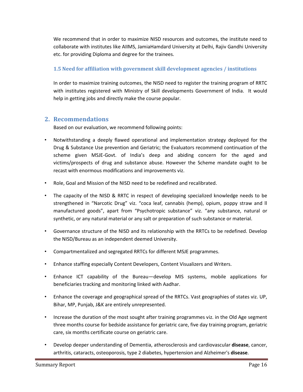We recommend that in order to maximize NISD resources and outcomes, the institute need to collaborate with institutes like AIIMS, JamiaHamdard University at Delhi, Rajiv Gandhi University etc. for providing Diploma and degree for the trainees.

### <span id="page-15-0"></span>**1.5 Need for affiliation with government skill development agencies / institutions**

In order to maximize training outcomes, the NISD need to register the training program of RRTC with institutes registered with Ministry of Skill developments Government of India. It would help in getting jobs and directly make the course popular.

# <span id="page-15-1"></span>**2. Recommendations**

Based on our evaluation, we recommend following points:

- Notwithstanding a deeply flawed operational and implementation strategy deployed for the Drug & Substance Use prevention and Geriatric; the Evaluators recommend continuation of the scheme given MSJE-Govt. of India's deep and abiding concern for the aged and victims/prospects of drug and substance abuse. However the Scheme mandate ought to be recast with enormous modifications and improvements viz.
- Role, Goal and Mission of the NISD need to be redefined and recalibrated.
- The capacity of the NISD & RRTC in respect of developing specialized knowledge needs to be strengthened in "Narcotic Drug" viz. "coca leaf, cannabis (hemp), opium, poppy straw and ll manufactured goods", apart from "Psychotropic substance" viz. "any substance, natural or synthetic, or any natural material or any salt or preparation of such substance or material.
- Governance structure of the NISD and its relationship with the RRTCs to be redefined. Develop the NISD/Bureau as an independent deemed University.
- Compartmentalized and segregated RRTCs for different MSJE programmes.
- Enhance staffing especially Content Developers, Content Visualizers and Writers.
- Enhance ICT capability of the Bureau—develop MIS systems, mobile applications for beneficiaries tracking and monitoring linked with Aadhar.
- Enhance the coverage and geographical spread of the RRTCs. Vast geographies of states viz. UP, Bihar, MP, Punjab, J&K are entirely unrepresented.
- Increase the duration of the most sought after training programmes viz. in the Old Age segment three months course for bedside assistance for geriatric care, five day training program, geriatric care, six months certificate course on geriatric care.
- Develop deeper understanding of Dementia, atherosclerosis and cardiovascular **disease**, cancer, arthritis, cataracts, osteoporosis, type 2 diabetes, hypertension and Alzheimer's **disease**.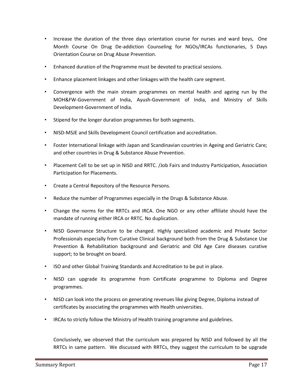- Increase the duration of the three days orientation course for nurses and ward boys, One Month Course On Drug De-addiction Counseling for NGOs/IRCAs functionaries, 5 Days Orientation Course on Drug Abuse Prevention.
- Enhanced duration of the Programme must be devoted to practical sessions.
- Enhance placement linkages and other linkages with the health care segment.
- Convergence with the main stream programmes on mental health and ageing run by the MOH&FW-Government of India, Ayush-Government of India, and Ministry of Skills Development-Government of India.
- Stipend for the longer duration programmes for both segments.
- NISD-MSJE and Skills Development Council certification and accreditation.
- Foster International linkage with Japan and Scandinavian countries in Ageing and Geriatric Care; and other countries in Drug & Substance Abuse Prevention.
- Placement Cell to be set up in NISD and RRTC. /Job Fairs and Industry Participation, Association Participation for Placements.
- Create a Central Repository of the Resource Persons.
- Reduce the number of Programmes especially in the Drugs & Substance Abuse.
- Change the norms for the RRTCs and IRCA. One NGO or any other affiliate should have the mandate of running either IRCA or RRTC. No duplication.
- NISD Governance Structure to be changed. Highly specialized academic and Private Sector Professionals especially from Curative Clinical background both from the Drug & Substance Use Prevention & Rehabilitation background and Geriatric and Old Age Care diseases curative support; to be brought on board.
- ISO and other Global Training Standards and Accreditation to be put in place.
- NISD can upgrade its programme from Certificate programme to Diploma and Degree programmes.
- NISD can look into the process on generating revenues like giving Degree, Diploma instead of certificates by associating the programmes with Health universities.
- IRCAs to strictly follow the Ministry of Health training programme and guidelines.

Conclusively, we observed that the curriculum was prepared by NISD and followed by all the RRTCs in same pattern. We discussed with RRTCs, they suggest the curriculum to be upgrade